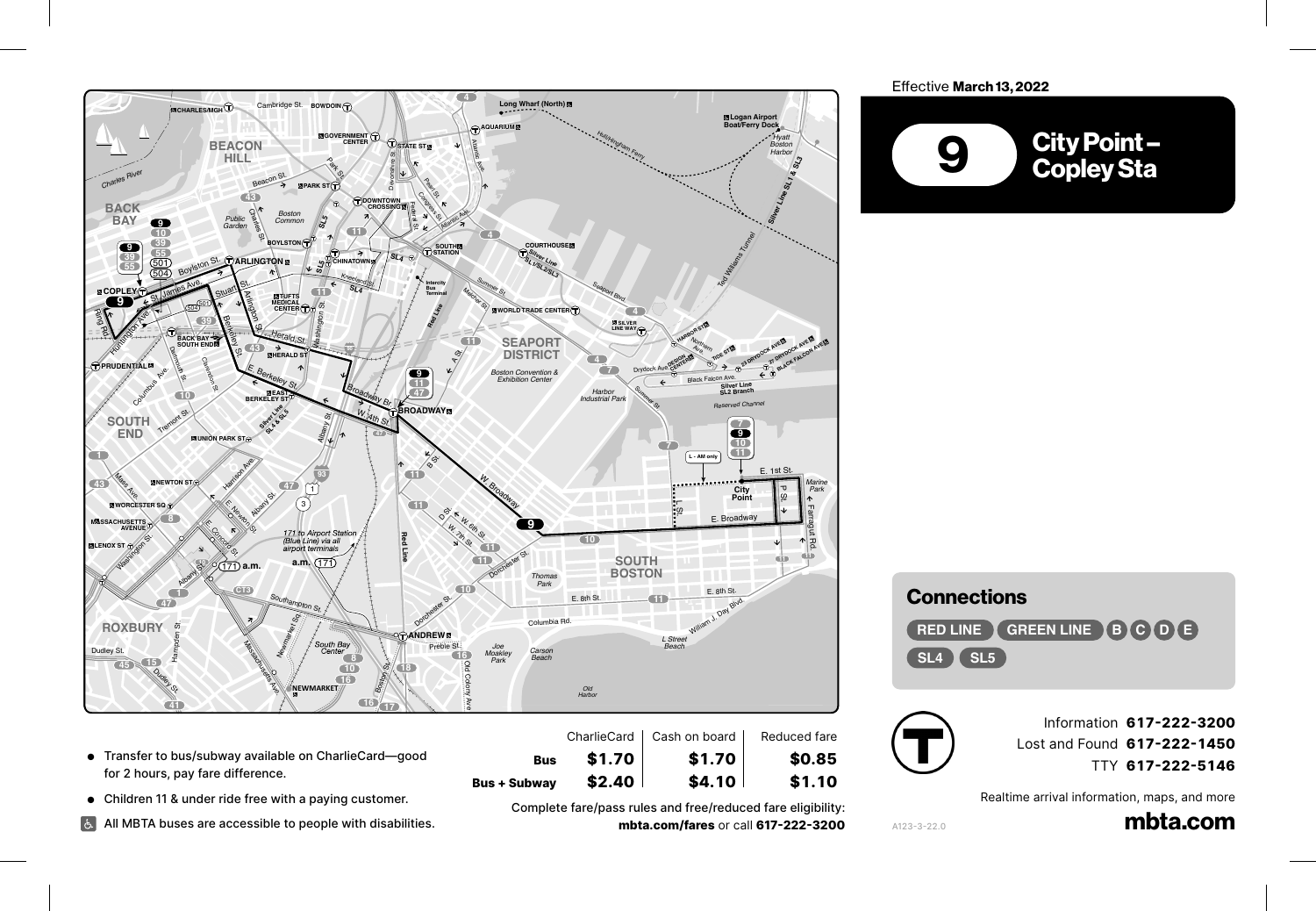

- Transfer to bus/subway available on CharlieCard—good for 2 hours, pay fare difference.
- Children 11 & under ride free with a paying customer.

Broadway

All MBTA buses are accessible to people with disabilities.

Complete fare/pass rules and free/reduced fare eligibility: **mbta.com/fares** or call **617-222-3200**

**Bus + Subway \$2.40 \$4.10 \$1.10**

**Bus \$1.70 \$1.70 \$0.85**

## Effective March 13, 2022



## **Connections**

**RED LINE GREEN LINE B C D E SL4 SL5**



Information **617-222-3200** Lost and Found **617-222-1450** TTY **617-222-5146**

Realtime arrival information, maps, and more

mbta.com

A123-3-22.0